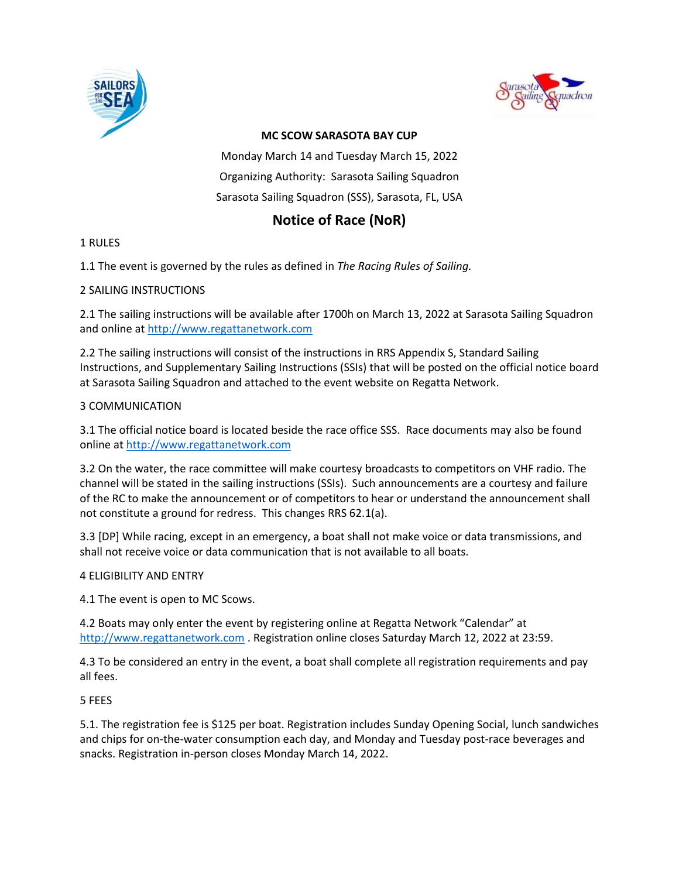



# **MC SCOW SARASOTA BAY CUP**

Monday March 14 and Tuesday March 15, 2022 Organizing Authority: Sarasota Sailing Squadron Sarasota Sailing Squadron (SSS), Sarasota, FL, USA

# **Notice of Race (NoR)**

# 1 RULES

1.1 The event is governed by the rules as defined in *The Racing Rules of Sailing.*

# 2 SAILING INSTRUCTIONS

2.1 The sailing instructions will be available after 1700h on March 13, 2022 at Sarasota Sailing Squadron and online at [http://www.regattanetwork.com](http://www.regattanetwork.com/)

2.2 The sailing instructions will consist of the instructions in RRS Appendix S, Standard Sailing Instructions, and Supplementary Sailing Instructions (SSIs) that will be posted on the official notice board at Sarasota Sailing Squadron and attached to the event website on Regatta Network.

# 3 COMMUNICATION

3.1 The official notice board is located beside the race office SSS. Race documents may also be found online at [http://www.regattanetwork.com](http://www.regattanetwork.com/)

3.2 On the water, the race committee will make courtesy broadcasts to competitors on VHF radio. The channel will be stated in the sailing instructions (SSIs). Such announcements are a courtesy and failure of the RC to make the announcement or of competitors to hear or understand the announcement shall not constitute a ground for redress. This changes RRS 62.1(a).

3.3 [DP] While racing, except in an emergency, a boat shall not make voice or data transmissions, and shall not receive voice or data communication that is not available to all boats.

# 4 ELIGIBILITY AND ENTRY

4.1 The event is open to MC Scows.

4.2 Boats may only enter the event by registering online at Regatta Network "Calendar" at [http://www.regattanetwork.com](http://www.regattanetwork.com/) . Registration online closes Saturday March 12, 2022 at 23:59.

4.3 To be considered an entry in the event, a boat shall complete all registration requirements and pay all fees.

5 FEES

5.1. The registration fee is \$125 per boat. Registration includes Sunday Opening Social, lunch sandwiches and chips for on-the-water consumption each day, and Monday and Tuesday post-race beverages and snacks. Registration in-person closes Monday March 14, 2022.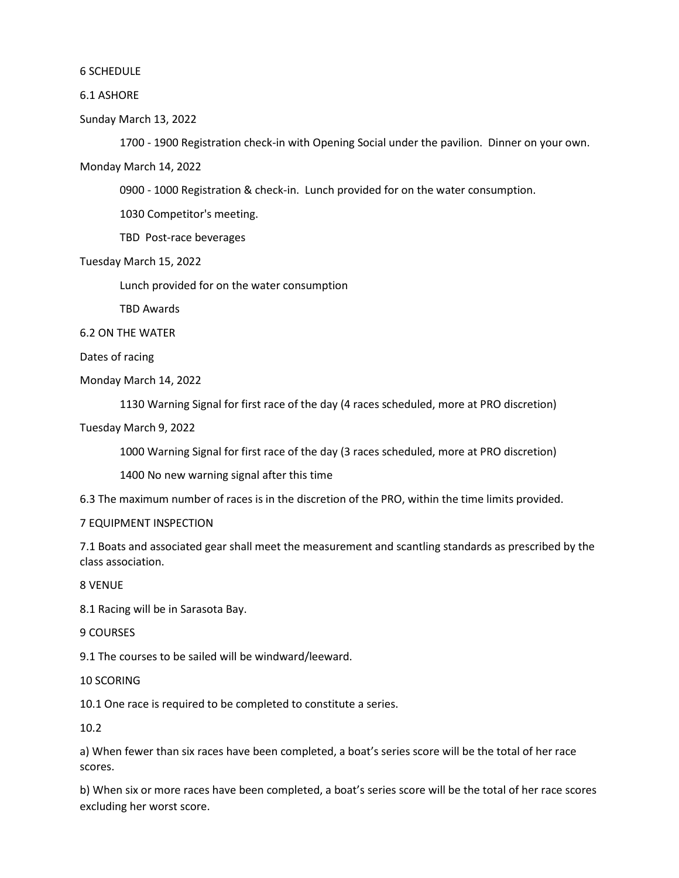#### 6 SCHEDULE

#### 6.1 ASHORE

Sunday March 13, 2022

1700 - 1900 Registration check-in with Opening Social under the pavilion. Dinner on your own.

Monday March 14, 2022

0900 - 1000 Registration & check-in. Lunch provided for on the water consumption.

1030 Competitor's meeting.

TBD Post-race beverages

Tuesday March 15, 2022

Lunch provided for on the water consumption

TBD Awards

6.2 ON THE WATER

Dates of racing

Monday March 14, 2022

1130 Warning Signal for first race of the day (4 races scheduled, more at PRO discretion)

Tuesday March 9, 2022

1000 Warning Signal for first race of the day (3 races scheduled, more at PRO discretion)

1400 No new warning signal after this time

6.3 The maximum number of races is in the discretion of the PRO, within the time limits provided.

#### 7 EQUIPMENT INSPECTION

7.1 Boats and associated gear shall meet the measurement and scantling standards as prescribed by the class association.

8 VENUE

8.1 Racing will be in Sarasota Bay.

9 COURSES

9.1 The courses to be sailed will be windward/leeward.

10 SCORING

10.1 One race is required to be completed to constitute a series.

10.2

a) When fewer than six races have been completed, a boat's series score will be the total of her race scores.

b) When six or more races have been completed, a boat's series score will be the total of her race scores excluding her worst score.